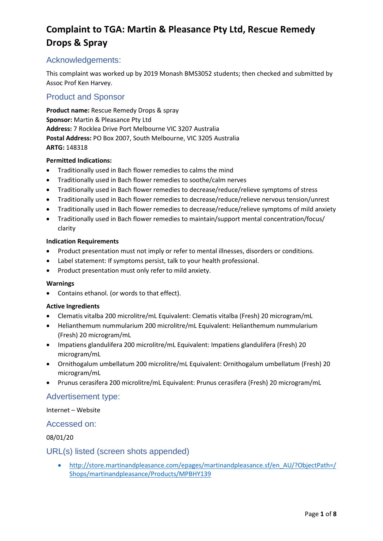## Acknowledgements:

This complaint was worked up by 2019 Monash BMS3052 students; then checked and submitted by Assoc Prof Ken Harvey.

## Product and Sponsor

**Product name:** Rescue Remedy Drops & spray **Sponsor:** Martin & Pleasance Pty Ltd **Address:** 7 Rocklea Drive Port Melbourne VIC 3207 Australia **Postal Address:** PO Box 2007, South Melbourne, VIC 3205 Australia **ARTG:** 148318

#### **Permitted Indications:**

- Traditionally used in Bach flower remedies to calms the mind
- Traditionally used in Bach flower remedies to soothe/calm nerves
- Traditionally used in Bach flower remedies to decrease/reduce/relieve symptoms of stress
- Traditionally used in Bach flower remedies to decrease/reduce/relieve nervous tension/unrest
- Traditionally used in Bach flower remedies to decrease/reduce/relieve symptoms of mild anxiety
- Traditionally used in Bach flower remedies to maintain/support mental concentration/focus/ clarity

#### **Indication Requirements**

- Product presentation must not imply or refer to mental illnesses, disorders or conditions.
- Label statement: If symptoms persist, talk to your health professional.
- Product presentation must only refer to mild anxiety.

#### **Warnings**

• Contains ethanol. (or words to that effect).

#### **Active Ingredients**

- Clematis vitalba 200 microlitre/mL Equivalent: Clematis vitalba (Fresh) 20 microgram/mL
- Helianthemum nummularium 200 microlitre/mL Equivalent: Helianthemum nummularium (Fresh) 20 microgram/mL
- Impatiens glandulifera 200 microlitre/mL Equivalent: Impatiens glandulifera (Fresh) 20 microgram/mL
- Ornithogalum umbellatum 200 microlitre/mL Equivalent: Ornithogalum umbellatum (Fresh) 20 microgram/mL
- Prunus cerasifera 200 microlitre/mL Equivalent: Prunus cerasifera (Fresh) 20 microgram/mL

#### Advertisement type:

Internet – Website

#### Accessed on:

08/01/20

#### URL(s) listed (screen shots appended)

• [http://store.martinandpleasance.com/epages/martinandpleasance.sf/en\\_AU/?ObjectPath=/](http://store.martinandpleasance.com/epages/martinandpleasance.sf/en_AU/?ObjectPath=/Shops/martinandpleasance/Products/MPBHY139) [Shops/martinandpleasance/Products/MPBHY139](http://store.martinandpleasance.com/epages/martinandpleasance.sf/en_AU/?ObjectPath=/Shops/martinandpleasance/Products/MPBHY139)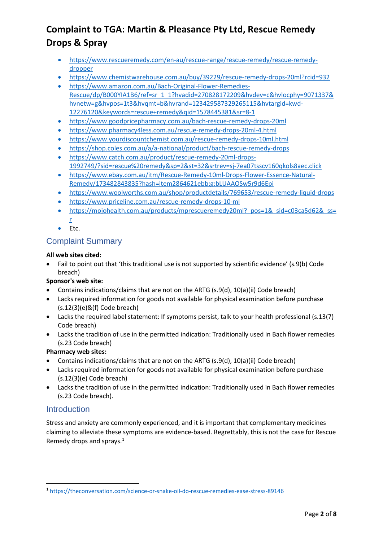- [https://www.rescueremedy.com/en-au/rescue-range/rescue-remedy/rescue-remedy](https://www.rescueremedy.com/en-au/rescue-range/rescue-remedy/rescue-remedy-dropper)[dropper](https://www.rescueremedy.com/en-au/rescue-range/rescue-remedy/rescue-remedy-dropper)
- <https://www.chemistwarehouse.com.au/buy/39229/rescue-remedy-drops-20ml?rcid=932>
- [https://www.amazon.com.au/Bach-Original-Flower-Remedies-](https://www.amazon.com.au/Bach-Original-Flower-Remedies-Rescue/dp/B000YIA1B6/ref=sr_1_1?hvadid=270828172209&hvdev=c&hvlocphy=9071337&hvnetw=g&hvpos=1t3&hvqmt=b&hvrand=123429587329265115&hvtargid=kwd-12276120&keywords=rescue+remedy&qid=1578445381&sr=8-1)[Rescue/dp/B000YIA1B6/ref=sr\\_1\\_1?hvadid=270828172209&hvdev=c&hvlocphy=9071337&](https://www.amazon.com.au/Bach-Original-Flower-Remedies-Rescue/dp/B000YIA1B6/ref=sr_1_1?hvadid=270828172209&hvdev=c&hvlocphy=9071337&hvnetw=g&hvpos=1t3&hvqmt=b&hvrand=123429587329265115&hvtargid=kwd-12276120&keywords=rescue+remedy&qid=1578445381&sr=8-1) [hvnetw=g&hvpos=1t3&hvqmt=b&hvrand=123429587329265115&hvtargid=kwd-](https://www.amazon.com.au/Bach-Original-Flower-Remedies-Rescue/dp/B000YIA1B6/ref=sr_1_1?hvadid=270828172209&hvdev=c&hvlocphy=9071337&hvnetw=g&hvpos=1t3&hvqmt=b&hvrand=123429587329265115&hvtargid=kwd-12276120&keywords=rescue+remedy&qid=1578445381&sr=8-1)[12276120&keywords=rescue+remedy&qid=1578445381&sr=8-1](https://www.amazon.com.au/Bach-Original-Flower-Remedies-Rescue/dp/B000YIA1B6/ref=sr_1_1?hvadid=270828172209&hvdev=c&hvlocphy=9071337&hvnetw=g&hvpos=1t3&hvqmt=b&hvrand=123429587329265115&hvtargid=kwd-12276120&keywords=rescue+remedy&qid=1578445381&sr=8-1)
- <https://www.goodpricepharmacy.com.au/bach-rescue-remedy-drops-20ml>
- <https://www.pharmacy4less.com.au/rescue-remedy-drops-20ml-4.html>
- <https://www.yourdiscountchemist.com.au/rescue-remedy-drops-10ml.html>
- <https://shop.coles.com.au/a/a-national/product/bach-rescue-remedy-drops>
- [https://www.catch.com.au/product/rescue-remedy-20ml-drops-](https://www.catch.com.au/product/rescue-remedy-20ml-drops-1992749/?sid=rescue%20remedy&sp=2&st=32&srtrev=sj-7ea07tsscv160qkols8aec.click)[1992749/?sid=rescue%20remedy&sp=2&st=32&srtrev=sj-7ea07tsscv160qkols8aec.click](https://www.catch.com.au/product/rescue-remedy-20ml-drops-1992749/?sid=rescue%20remedy&sp=2&st=32&srtrev=sj-7ea07tsscv160qkols8aec.click)
- [https://www.ebay.com.au/itm/Rescue-Remedy-10ml-Drops-Flower-Essence-Natural-](https://www.ebay.com.au/itm/Rescue-Remedy-10ml-Drops-Flower-Essence-Natural-Remedy/173482843835?hash=item2864621ebb:g:bLUAAOSw5r9d6Epi)[Remedy/173482843835?hash=item2864621ebb:g:bLUAAOSw5r9d6Epi](https://www.ebay.com.au/itm/Rescue-Remedy-10ml-Drops-Flower-Essence-Natural-Remedy/173482843835?hash=item2864621ebb:g:bLUAAOSw5r9d6Epi)
- <https://www.woolworths.com.au/shop/productdetails/769653/rescue-remedy-liquid-drops>
- <https://www.priceline.com.au/rescue-remedy-drops-10-ml>
- https://mojohealth.com.au/products/mprescueremedy20ml? pos=1& sid=c03ca5d62& ss= [r](https://mojohealth.com.au/products/mprescueremedy20ml?_pos=1&_sid=c03ca5d62&_ss=r)
- Etc.

## Complaint Summary

#### **All web sites cited:**

• Fail to point out that 'this traditional use is not supported by scientific evidence' (s.9(b) Code breach)

### **Sponsor's web site:**

- Contains indications/claims that are not on the ARTG (s.9(d), 10(a)(ii) Code breach)
- Lacks required information for goods not available for physical examination before purchase (s.12(3)(e)&(f) Code breach)
- Lacks the required label statement: If symptoms persist, talk to your health professional (s.13(7) Code breach)
- Lacks the tradition of use in the permitted indication: Traditionally used in Bach flower remedies (s.23 Code breach)

#### **Pharmacy web sites:**

- Contains indications/claims that are not on the ARTG (s.9(d), 10(a)(ii) Code breach)
- Lacks required information for goods not available for physical examination before purchase (s.12(3)(e) Code breach)
- Lacks the tradition of use in the permitted indication: Traditionally used in Bach flower remedies (s.23 Code breach).

## **Introduction**

Stress and anxiety are commonly experienced, and it is important that complementary medicines claiming to alleviate these symptoms are evidence-based. Regrettably, this is not the case for Rescue Remedy drops and sprays. $1$ 

<span id="page-1-0"></span><sup>1</sup> <https://theconversation.com/science-or-snake-oil-do-rescue-remedies-ease-stress-89146>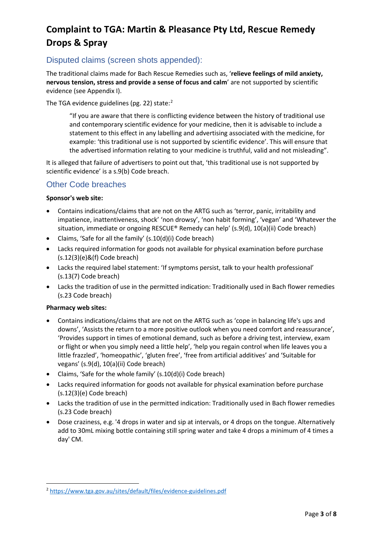## Disputed claims (screen shots appended):

The traditional claims made for Bach Rescue Remedies such as, '**relieve feelings of mild anxiety, nervous tension, stress and provide a sense of focus and calm**' are not supported by scientific evidence (see Appendix I).

The TGA evidence guidelines (pg. [2](#page-2-0)2) state:<sup>2</sup>

"If you are aware that there is conflicting evidence between the history of traditional use and contemporary scientific evidence for your medicine, then it is advisable to include a statement to this effect in any labelling and advertising associated with the medicine, for example: 'this traditional use is not supported by scientific evidence'. This will ensure that the advertised information relating to your medicine is truthful, valid and not misleading".

It is alleged that failure of advertisers to point out that, 'this traditional use is not supported by scientific evidence' is a s.9(b) Code breach.

## Other Code breaches

#### **Sponsor's web site:**

- Contains indications/claims that are not on the ARTG such as 'terror, panic, irritability and impatience, inattentiveness, shock' 'non drowsy', 'non habit forming', 'vegan' and 'Whatever the situation, immediate or ongoing RESCUE® Remedy can help' (s.9(d), 10(a)(ii) Code breach)
- Claims, 'Safe for all the family' (s.10(d)(i) Code breach)
- Lacks required information for goods not available for physical examination before purchase (s.12(3)(e)&(f) Code breach)
- Lacks the required label statement: 'If symptoms persist, talk to your health professional' (s.13(7) Code breach)
- Lacks the tradition of use in the permitted indication: Traditionally used in Bach flower remedies (s.23 Code breach)

#### **Pharmacy web sites:**

- Contains indications/claims that are not on the ARTG such as 'cope in balancing life's ups and downs', 'Assists the return to a more positive outlook when you need comfort and reassurance', 'Provides support in times of emotional demand, such as before a driving test, interview, exam or flight or when you simply need a little help', 'help you regain control when life leaves you a little frazzled', 'homeopathic', 'gluten free', 'free from artificial additives' and 'Suitable for vegans' (s.9(d), 10(a)(ii) Code breach)
- Claims, 'Safe for the whole family' (s.10(d)(i) Code breach)
- Lacks required information for goods not available for physical examination before purchase (s.12(3)(e) Code breach)
- Lacks the tradition of use in the permitted indication: Traditionally used in Bach flower remedies (s.23 Code breach)
- Dose craziness, e.g. '4 drops in water and sip at intervals, or 4 drops on the tongue. Alternatively add to 30mL mixing bottle containing still spring water and take 4 drops a minimum of 4 times a day' CM.

<span id="page-2-0"></span><sup>2</sup> <https://www.tga.gov.au/sites/default/files/evidence-guidelines.pdf>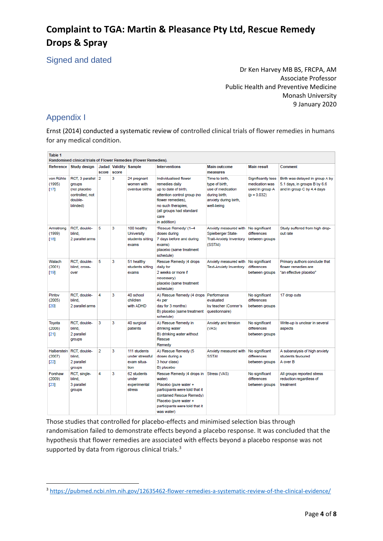Signed and dated

Dr Ken Harvey MB BS, FRCPA, AM Associate Professor Public Health and Preventive Medicine Monash University 9 January 2020

## Appendix I

Ernst (2014) conducted a systematic review of controlled clinical trials of flower remedies in humans for any medical condition.

| Table 1<br>Randomised clinical trials of Flower Remedies (Flower Remedies). |                                                                                     |       |       |                                                               |                                                                                                                                                                                                     |                                                                                                               |                                                                          |                                                                                               |
|-----------------------------------------------------------------------------|-------------------------------------------------------------------------------------|-------|-------|---------------------------------------------------------------|-----------------------------------------------------------------------------------------------------------------------------------------------------------------------------------------------------|---------------------------------------------------------------------------------------------------------------|--------------------------------------------------------------------------|-----------------------------------------------------------------------------------------------|
| Reference                                                                   | <b>Study design</b>                                                                 | score | score | Jadad Validity Sample                                         | <b>Interventions</b>                                                                                                                                                                                | <b>Main outcome</b><br>measures                                                                               | <b>Main result</b>                                                       | Comment                                                                                       |
| von Rühle<br>(1995)<br>[17]                                                 | RCT. 3 parallel<br>groups<br>(not placebo<br>controlled, not<br>double-<br>blinded) | 2     | 3     | 24 pregnant<br>women with<br>overdue births                   | Individualised flower<br>remedies daily<br>up to date of birth,<br>attention control group (no<br>flower remedies),<br>no such therapies.<br>(all groups had standard<br>care<br>in addition)       | Time to birth.<br>type of birth.<br>use of medication<br>during birth,<br>anxiety during birth,<br>well-being | Significantly less<br>medication was<br>used in group A<br>$(p = 0.032)$ | Birth was delayed in group A by<br>5.1 days, in groups B by 6.6<br>and in group C by 4.4 days |
| Armstrong<br>(1999)<br>[18]                                                 | RCT, double-<br>blind.<br>2 parallel arms                                           | 5     | 3     | 100 healthy<br><b>University</b><br>students sitting<br>exams | 'Rescue Remedy' (1-4<br>doses during<br>7 days before and during<br>exams)<br>placebo (same treatment<br>schedule)                                                                                  | Anxiety measured with No significant<br>Spielberger State-<br><b>Trait-Anxiety Inventory</b><br>(SSTAI)       | differences<br>between groups                                            | Study suffered from high drop-<br>out rate                                                    |
| Walach<br>(2001)<br>[19]                                                    | RCT. double-<br>blind, cross-<br>over                                               | 5     | 3     | 51 healthy<br>students sitting<br>exams                       | Rescue Remedy (4 drops<br>daily for<br>2 weeks or more if<br>necessary)<br>placebo (same treatment<br>schedule)                                                                                     | Anxiety measured with<br><b>Text-Anxiety Inventory</b>                                                        | No significant<br>differences<br>between groups                          | Primary authors conclude that<br>flower remedies are<br>"an effective placebo"                |
| Pintov<br>(2005)<br>[20]                                                    | RCT, double-<br>blind.<br>2 parallel arms                                           | 4     | 3     | 40 school<br>children<br>with ADHD                            | A) Rescue Remedy (4 drops<br>4x per<br>day for 3 months)<br>B) placebo (same treatment<br>schedule)                                                                                                 | Performance<br>evaluated<br>by teacher (Conner's<br>questionnaire)                                            | No significant<br>differences<br>between groups                          | 17 drop outs                                                                                  |
| Toyota<br>(2006)<br>[21]                                                    | RCT, double-<br>blind,<br>2 parallel<br>groups                                      | 3     | 3     | 40 surgical<br>patients                                       | A) Rescue Remedy in<br>drinking water<br>B) drinking water without<br>Rescue<br>Remedy                                                                                                              | Anxiety and tension<br>(VAS)                                                                                  | No significant<br>differences<br>between groups                          | Write-up is unclear in several<br>aspects                                                     |
| (2007)<br>[22]                                                              | Halberstein RCT, double-<br>blind.<br>2 parallel<br>groups                          | 2     | 3     | 111 students<br>under stressful<br>exam situa-<br>tion        | A) Rescue Remedy (5<br>doses during a<br>3 hour class)<br>B) placebo                                                                                                                                | Anxiety measured with<br><b>SSTAI</b>                                                                         | No significant<br>differences<br>between groups                          | A subanalysis of high anxiety<br>students favoured<br>A over B                                |
| Forshaw<br>(2009)<br>[23]                                                   | RCT, single-<br>blind,<br>3 parallel<br>groups                                      | 4     | 3     | 62 students<br>under<br>experimental<br>stress                | Rescue Remedy (4 drops in<br>water)<br>Placebo (pure water +<br>participants were told that it<br>contained Rescue Remedy)<br>Placebo (pure water +<br>participants were told that it<br>was water) | Stress (VAS)                                                                                                  | No significant<br>differences<br>between groups                          | All groups reported stress<br>reduction regardless of<br>treatment                            |

Those studies that controlled for placebo-effects and minimised selection bias through randomisation failed to demonstrate effects beyond a placebo response. It was concluded that the hypothesis that flower remedies are associated with effects beyond a placebo response was not supported by data from rigorous clinical trials.<sup>[3](#page-3-0)</sup>

<span id="page-3-0"></span><sup>3</sup> <https://pubmed.ncbi.nlm.nih.gov/12635462-flower-remedies-a-systematic-review-of-the-clinical-evidence/>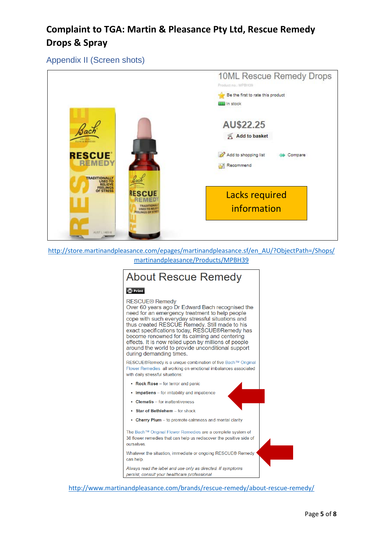Appendix II (Screen shots)



[http://store.martinandpleasance.com/epages/martinandpleasance.sf/en\\_AU/?ObjectPath=/Shops/](http://store.martinandpleasance.com/epages/martinandpleasance.sf/en_AU/?ObjectPath=/Shops/martinandpleasance/Products/MPBH39) [martinandpleasance/Products/MPBH39](http://store.martinandpleasance.com/epages/martinandpleasance.sf/en_AU/?ObjectPath=/Shops/martinandpleasance/Products/MPBH39)

# **About Rescue Remedy**

#### **O** Print

**RESCUE® Remedy** Over 60 years ago Dr Edward Bach recognised the need for an emergency treatment to help people cope with such everyday stressful situations and thus created RESCUE Remedy. Still made to his exact specifications today, RESCUE®Remedy has become renowned for its calming and centering effects. It is now relied upon by millions of people around the world to provide unconditional support during demanding times.

RESCUE®Remedy is a unique combination of five Bach™ Original Flower Remedies all working on emotional imbalances associated with daily stressful situations:

- Rock Rose for terror and panic
- Impatiens for irritability and impatience
- Clematis for inattentiveness
- Star of Bethlehem for shock
- Cherry Plum to promote calmness and mental clarity

The Bach™ Original Flower Remedies are a complete system of 38 flower remedies that can help us rediscover the positive side of ourselves

Whatever the situation, immediate or ongoing RESCUE® Remedy can help

Always read the label and use only as directed. If symptoms persist, consult your healthcare professional.

<http://www.martinandpleasance.com/brands/rescue-remedy/about-rescue-remedy/>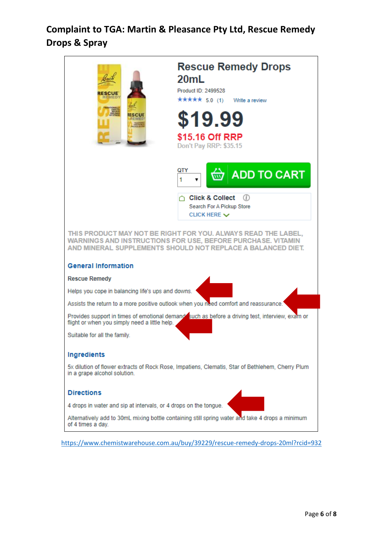

<https://www.chemistwarehouse.com.au/buy/39229/rescue-remedy-drops-20ml?rcid=932>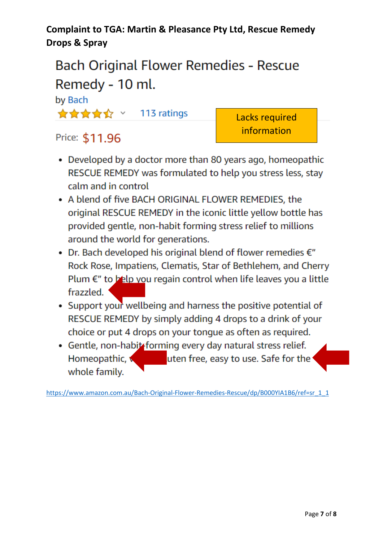# Bach Original Flower Remedies - Rescue Remedy - 10 ml.

# by Bach

\*\*\*\*\* 113 ratings

Lacks required information

# Price: \$11.96

- Developed by a doctor more than 80 years ago, homeopathic RESCUE REMEDY was formulated to help you stress less, stay calm and in control
- A blend of five BACH ORIGINAL FLOWER REMEDIES, the original RESCUE REMEDY in the iconic little yellow bottle has provided gentle, non-habit forming stress relief to millions around the world for generations.
- Dr. Bach developed his original blend of flower remedies  $\epsilon$ " Rock Rose, Impatiens, Clematis, Star of Bethlehem, and Cherry Plum  $\epsilon$ " to belp you regain control when life leaves you a little frazzled.
- Support your wellbeing and harness the positive potential of RESCUE REMEDY by simply adding 4 drops to a drink of your choice or put 4 drops on your tonque as often as required.
- Gentle, non-habit forming every day natural stress relief. uten free, easy to use. Safe for the Homeopathic, **x** whole family.

[https://www.amazon.com.au/Bach-Original-Flower-Remedies-Rescue/dp/B000YIA1B6/ref=sr\\_1\\_1](https://www.amazon.com.au/Bach-Original-Flower-Remedies-Rescue/dp/B000YIA1B6/ref=sr_1_1)\_